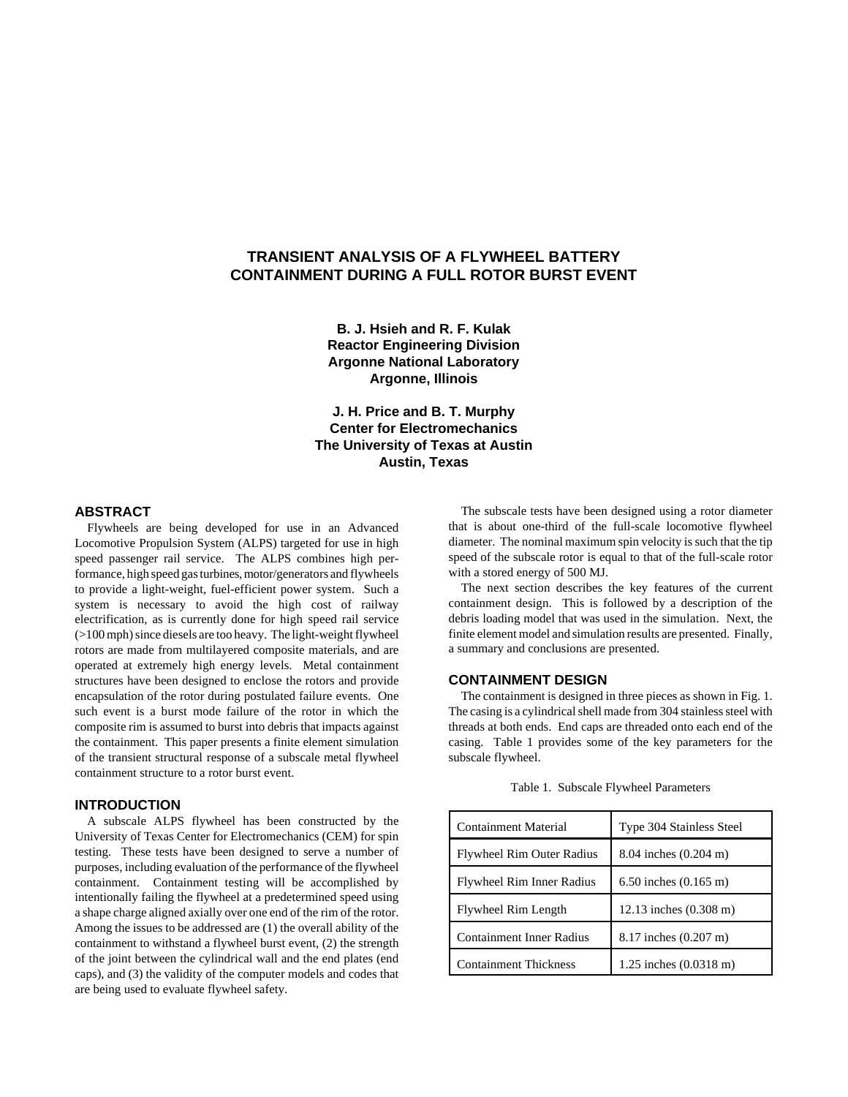# **TRANSIENT ANALYSIS OF A FLYWHEEL BATTERY CONTAINMENT DURING A FULL ROTOR BURST EVENT**

**B. J. Hsieh and R. F. Kulak Reactor Engineering Division Argonne National Laboratory Argonne, Illinois**

**J. H. Price and B. T. Murphy Center for Electromechanics The University of Texas at Austin Austin, Texas**

# **ABSTRACT**

Flywheels are being developed for use in an Advanced Locomotive Propulsion System (ALPS) targeted for use in high speed passenger rail service. The ALPS combines high performance, high speed gas turbines, motor/generators and flywheels to provide a light-weight, fuel-efficient power system. Such a system is necessary to avoid the high cost of railway electrification, as is currently done for high speed rail service (>100 mph) since diesels are too heavy. The light-weight flywheel rotors are made from multilayered composite materials, and are operated at extremely high energy levels. Metal containment structures have been designed to enclose the rotors and provide encapsulation of the rotor during postulated failure events. One such event is a burst mode failure of the rotor in which the composite rim is assumed to burst into debris that impacts against the containment. This paper presents a finite element simulation of the transient structural response of a subscale metal flywheel containment structure to a rotor burst event.

## **INTRODUCTION**

A subscale ALPS flywheel has been constructed by the University of Texas Center for Electromechanics (CEM) for spin testing. These tests have been designed to serve a number of purposes, including evaluation of the performance of the flywheel containment. Containment testing will be accomplished by intentionally failing the flywheel at a predetermined speed using a shape charge aligned axially over one end of the rim of the rotor. Among the issues to be addressed are (1) the overall ability of the containment to withstand a flywheel burst event, (2) the strength of the joint between the cylindrical wall and the end plates (end caps), and (3) the validity of the computer models and codes that are being used to evaluate flywheel safety.

The subscale tests have been designed using a rotor diameter that is about one-third of the full-scale locomotive flywheel diameter. The nominal maximum spin velocity is such that the tip speed of the subscale rotor is equal to that of the full-scale rotor with a stored energy of 500 MJ.

The next section describes the key features of the current containment design. This is followed by a description of the debris loading model that was used in the simulation. Next, the finite element model and simulation results are presented. Finally, a summary and conclusions are presented.

### **CONTAINMENT DESIGN**

The containment is designed in three pieces as shown in Fig. 1. The casing is a cylindrical shell made from 304 stainless steel with threads at both ends. End caps are threaded onto each end of the casing. Table 1 provides some of the key parameters for the subscale flywheel.

| Containment Material             | Type 304 Stainless Steel         |
|----------------------------------|----------------------------------|
| <b>Flywheel Rim Outer Radius</b> | 8.04 inches $(0.204 \text{ m})$  |
| Flywheel Rim Inner Radius        | 6.50 inches $(0.165 \text{ m})$  |
| Flywheel Rim Length              | 12.13 inches (0.308 m)           |
| <b>Containment Inner Radius</b>  | 8.17 inches (0.207 m)            |
| <b>Containment Thickness</b>     | 1.25 inches $(0.0318 \text{ m})$ |

Table 1. Subscale Flywheel Parameters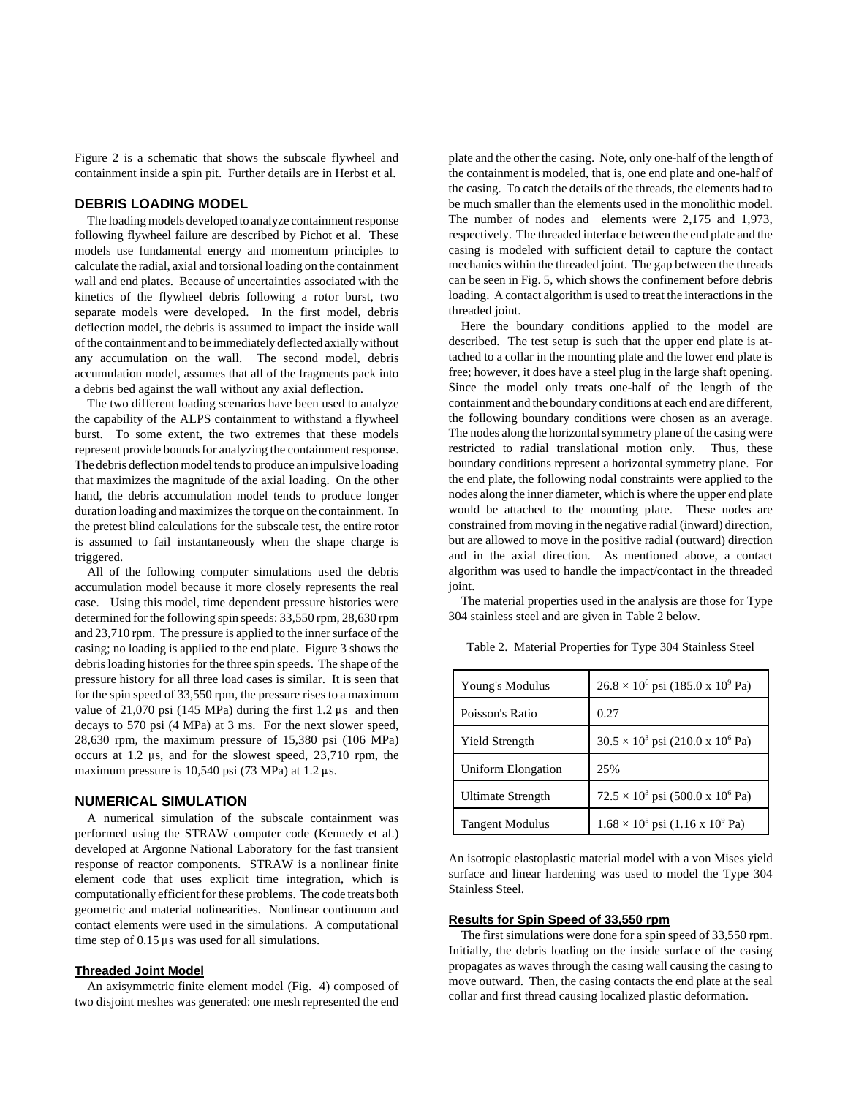Figure 2 is a schematic that shows the subscale flywheel and containment inside a spin pit. Further details are in Herbst et al.

### **DEBRIS LOADING MODEL**

The loading models developed to analyze containment response following flywheel failure are described by Pichot et al. These models use fundamental energy and momentum principles to calculate the radial, axial and torsional loading on the containment wall and end plates. Because of uncertainties associated with the kinetics of the flywheel debris following a rotor burst, two separate models were developed. In the first model, debris deflection model, the debris is assumed to impact the inside wall of the containment and to be immediately deflected axially without any accumulation on the wall. The second model, debris accumulation model, assumes that all of the fragments pack into a debris bed against the wall without any axial deflection.

The two different loading scenarios have been used to analyze the capability of the ALPS containment to withstand a flywheel burst. To some extent, the two extremes that these models represent provide bounds for analyzing the containment response. The debris deflection model tends to produce an impulsive loading that maximizes the magnitude of the axial loading. On the other hand, the debris accumulation model tends to produce longer duration loading and maximizes the torque on the containment. In the pretest blind calculations for the subscale test, the entire rotor is assumed to fail instantaneously when the shape charge is triggered.

All of the following computer simulations used the debris accumulation model because it more closely represents the real case. Using this model, time dependent pressure histories were determined for the following spin speeds: 33,550 rpm, 28,630 rpm and 23,710 rpm. The pressure is applied to the inner surface of the casing; no loading is applied to the end plate. Figure 3 shows the debris loading histories for the three spin speeds. The shape of the pressure history for all three load cases is similar. It is seen that for the spin speed of 33,550 rpm, the pressure rises to a maximum value of 21,070 psi (145 MPa) during the first  $1.2 \mu s$  and then decays to 570 psi (4 MPa) at 3 ms. For the next slower speed, 28,630 rpm, the maximum pressure of 15,380 psi (106 MPa) occurs at 1.2  $\mu$ s, and for the slowest speed, 23,710 rpm, the maximum pressure is 10,540 psi (73 MPa) at 1.2  $\mu$ s.

# **NUMERICAL SIMULATION**

A numerical simulation of the subscale containment was performed using the STRAW computer code (Kennedy et al.) developed at Argonne National Laboratory for the fast transient response of reactor components. STRAW is a nonlinear finite element code that uses explicit time integration, which is computationally efficient for these problems. The code treats both geometric and material nolinearities. Nonlinear continuum and contact elements were used in the simulations. A computational time step of  $0.15 \mu s$  was used for all simulations.

#### **Threaded Joint Model**

An axisymmetric finite element model (Fig. 4) composed of two disjoint meshes was generated: one mesh represented the end plate and the other the casing. Note, only one-half of the length of the containment is modeled, that is, one end plate and one-half of the casing. To catch the details of the threads, the elements had to be much smaller than the elements used in the monolithic model. The number of nodes and elements were 2,175 and 1,973, respectively. The threaded interface between the end plate and the casing is modeled with sufficient detail to capture the contact mechanics within the threaded joint. The gap between the threads can be seen in Fig. 5, which shows the confinement before debris loading. A contact algorithm is used to treat the interactions in the threaded joint.

Here the boundary conditions applied to the model are described. The test setup is such that the upper end plate is attached to a collar in the mounting plate and the lower end plate is free; however, it does have a steel plug in the large shaft opening. Since the model only treats one-half of the length of the containment and the boundary conditions at each end are different, the following boundary conditions were chosen as an average. The nodes along the horizontal symmetry plane of the casing were restricted to radial translational motion only. Thus, these boundary conditions represent a horizontal symmetry plane. For the end plate, the following nodal constraints were applied to the nodes along the inner diameter, which is where the upper end plate would be attached to the mounting plate. These nodes are constrained from moving in the negative radial (inward) direction, but are allowed to move in the positive radial (outward) direction and in the axial direction. As mentioned above, a contact algorithm was used to handle the impact/contact in the threaded joint.

The material properties used in the analysis are those for Type 304 stainless steel and are given in Table 2 below.

| Young's Modulus        | $26.8 \times 10^6$ psi (185.0 x 10 <sup>9</sup> Pa) |
|------------------------|-----------------------------------------------------|
| Poisson's Ratio        | 0.27                                                |
| Yield Strength         | $30.5 \times 10^3$ psi (210.0 x 10 <sup>6</sup> Pa) |
| Uniform Elongation     | 25%                                                 |
| Ultimate Strength      | $72.5 \times 10^3$ psi (500.0 x 10 <sup>6</sup> Pa) |
| <b>Tangent Modulus</b> | $1.68 \times 10^5$ psi (1.16 x 10 <sup>9</sup> Pa)  |

Table 2. Material Properties for Type 304 Stainless Steel

An isotropic elastoplastic material model with a von Mises yield surface and linear hardening was used to model the Type 304 Stainless Steel.

#### **Results for Spin Speed of 33,550 rpm**

The first simulations were done for a spin speed of 33,550 rpm. Initially, the debris loading on the inside surface of the casing propagates as waves through the casing wall causing the casing to move outward. Then, the casing contacts the end plate at the seal collar and first thread causing localized plastic deformation.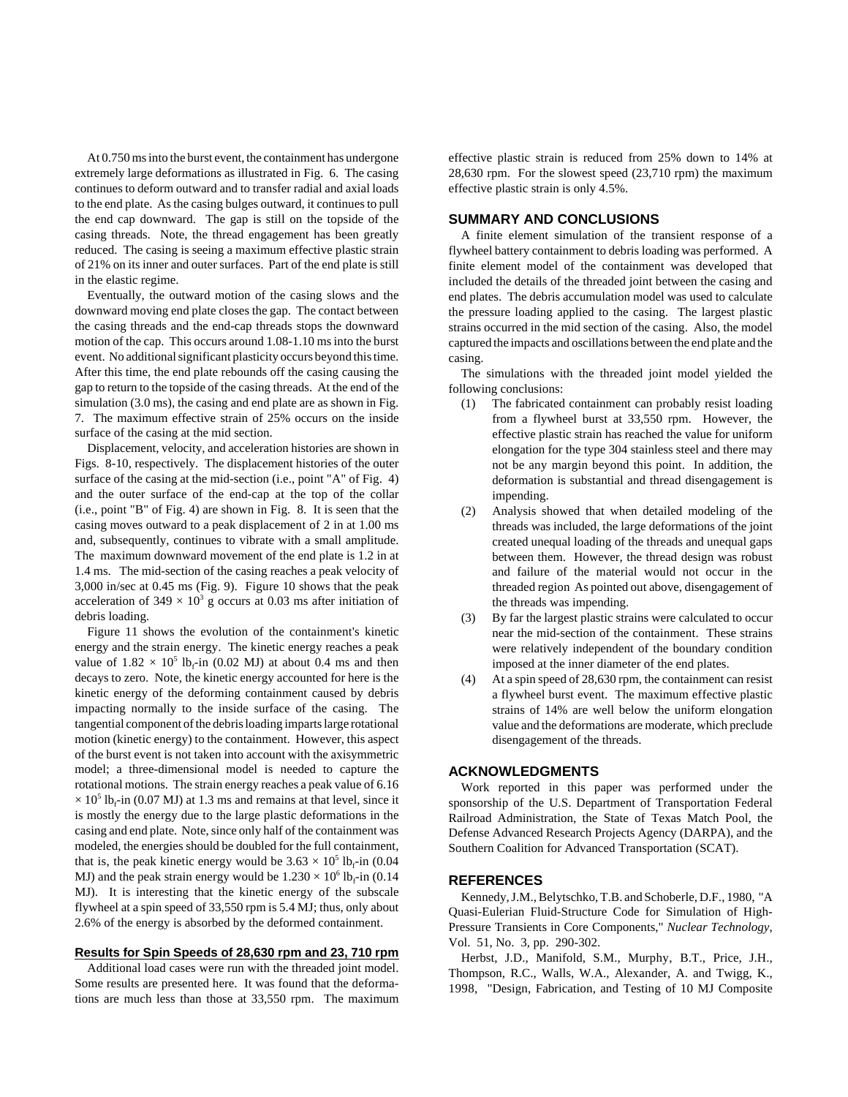At 0.750 ms into the burst event, the containment has undergone extremely large deformations as illustrated in Fig. 6. The casing continues to deform outward and to transfer radial and axial loads to the end plate. As the casing bulges outward, it continues to pull the end cap downward. The gap is still on the topside of the casing threads. Note, the thread engagement has been greatly reduced. The casing is seeing a maximum effective plastic strain of 21% on its inner and outer surfaces. Part of the end plate is still in the elastic regime.

Eventually, the outward motion of the casing slows and the downward moving end plate closes the gap. The contact between the casing threads and the end-cap threads stops the downward motion of the cap. This occurs around 1.08-1.10 ms into the burst event. No additional significant plasticity occurs beyond this time. After this time, the end plate rebounds off the casing causing the gap to return to the topside of the casing threads. At the end of the simulation (3.0 ms), the casing and end plate are as shown in Fig. 7. The maximum effective strain of 25% occurs on the inside surface of the casing at the mid section.

Displacement, velocity, and acceleration histories are shown in Figs. 8-10, respectively. The displacement histories of the outer surface of the casing at the mid-section (i.e., point "A" of Fig. 4) and the outer surface of the end-cap at the top of the collar (i.e., point "B" of Fig. 4) are shown in Fig. 8. It is seen that the casing moves outward to a peak displacement of 2 in at 1.00 ms and, subsequently, continues to vibrate with a small amplitude. The maximum downward movement of the end plate is 1.2 in at 1.4 ms. The mid-section of the casing reaches a peak velocity of 3,000 in/sec at 0.45 ms (Fig. 9). Figure 10 shows that the peak acceleration of 349  $\times$  10<sup>3</sup> g occurs at 0.03 ms after initiation of debris loading.

Figure 11 shows the evolution of the containment's kinetic energy and the strain energy. The kinetic energy reaches a peak value of  $1.82 \times 10^5$  lb<sub>f</sub>-in (0.02 MJ) at about 0.4 ms and then decays to zero. Note, the kinetic energy accounted for here is the kinetic energy of the deforming containment caused by debris impacting normally to the inside surface of the casing. The tangential component of the debris loading imparts large rotational motion (kinetic energy) to the containment. However, this aspect of the burst event is not taken into account with the axisymmetric model; a three-dimensional model is needed to capture the rotational motions. The strain energy reaches a peak value of 6.16  $\times$  10<sup>5</sup> lb<sub>f</sub>-in (0.07 MJ) at 1.3 ms and remains at that level, since it is mostly the energy due to the large plastic deformations in the casing and end plate. Note, since only half of the containment was modeled, the energies should be doubled for the full containment, that is, the peak kinetic energy would be  $3.63 \times 10^5$  lb<sub>f</sub>-in  $(0.04)$ MJ) and the peak strain energy would be  $1.230 \times 10^6$  lb<sub>f</sub>-in (0.14) MJ). It is interesting that the kinetic energy of the subscale flywheel at a spin speed of 33,550 rpm is 5.4 MJ; thus, only about 2.6% of the energy is absorbed by the deformed containment.

## **Results for Spin Speeds of 28,630 rpm and 23, 710 rpm**

Additional load cases were run with the threaded joint model. Some results are presented here. It was found that the deformations are much less than those at 33,550 rpm. The maximum effective plastic strain is reduced from 25% down to 14% at 28,630 rpm. For the slowest speed (23,710 rpm) the maximum effective plastic strain is only 4.5%.

# **SUMMARY AND CONCLUSIONS**

A finite element simulation of the transient response of a flywheel battery containment to debris loading was performed. A finite element model of the containment was developed that included the details of the threaded joint between the casing and end plates. The debris accumulation model was used to calculate the pressure loading applied to the casing. The largest plastic strains occurred in the mid section of the casing. Also, the model captured the impacts and oscillations between the end plate and the casing.

The simulations with the threaded joint model yielded the following conclusions:

- (1) The fabricated containment can probably resist loading from a flywheel burst at 33,550 rpm. However, the effective plastic strain has reached the value for uniform elongation for the type 304 stainless steel and there may not be any margin beyond this point. In addition, the deformation is substantial and thread disengagement is impending.
- (2) Analysis showed that when detailed modeling of the threads was included, the large deformations of the joint created unequal loading of the threads and unequal gaps between them. However, the thread design was robust and failure of the material would not occur in the threaded region As pointed out above, disengagement of the threads was impending.
- (3) By far the largest plastic strains were calculated to occur near the mid-section of the containment. These strains were relatively independent of the boundary condition imposed at the inner diameter of the end plates.
- (4) At a spin speed of 28,630 rpm, the containment can resist a flywheel burst event. The maximum effective plastic strains of 14% are well below the uniform elongation value and the deformations are moderate, which preclude disengagement of the threads.

## **ACKNOWLEDGMENTS**

Work reported in this paper was performed under the sponsorship of the U.S. Department of Transportation Federal Railroad Administration, the State of Texas Match Pool, the Defense Advanced Research Projects Agency (DARPA), and the Southern Coalition for Advanced Transportation (SCAT).

#### **REFERENCES**

Kennedy, J.M., Belytschko, T.B. and Schoberle, D.F., 1980, "A Quasi-Eulerian Fluid-Structure Code for Simulation of High-Pressure Transients in Core Components," *Nuclear Technology*, Vol. 51, No. 3, pp. 290-302.

Herbst, J.D., Manifold, S.M., Murphy, B.T., Price, J.H., Thompson, R.C., Walls, W.A., Alexander, A. and Twigg, K., 1998, "Design, Fabrication, and Testing of 10 MJ Composite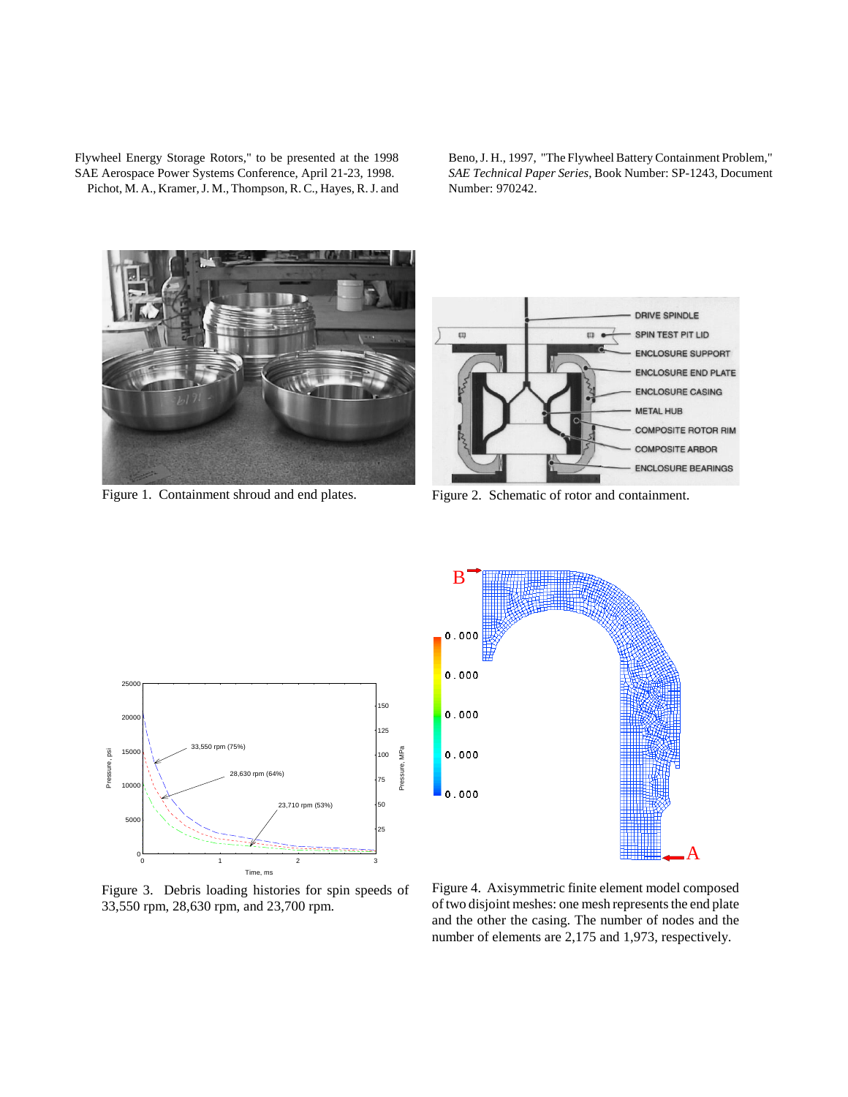Flywheel Energy Storage Rotors," to be presented at the 1998 SAE Aerospace Power Systems Conference, April 21-23, 1998. Pichot, M. A., Kramer, J. M., Thompson, R. C., Hayes, R. J. and

Beno, J. H., 1997, "The Flywheel Battery Containment Problem," *SAE Technical Paper Series*, Book Number: SP-1243, Document Number: 970242.



Figure 1. Containment shroud and end plates.



Figure 2. Schematic of rotor and containment.



Figure 3. Debris loading histories for spin speeds of 33,550 rpm, 28,630 rpm, and 23,700 rpm.



Figure 4. Axisymmetric finite element model composed of two disjoint meshes: one mesh represents the end plate and the other the casing. The number of nodes and the number of elements are 2,175 and 1,973, respectively.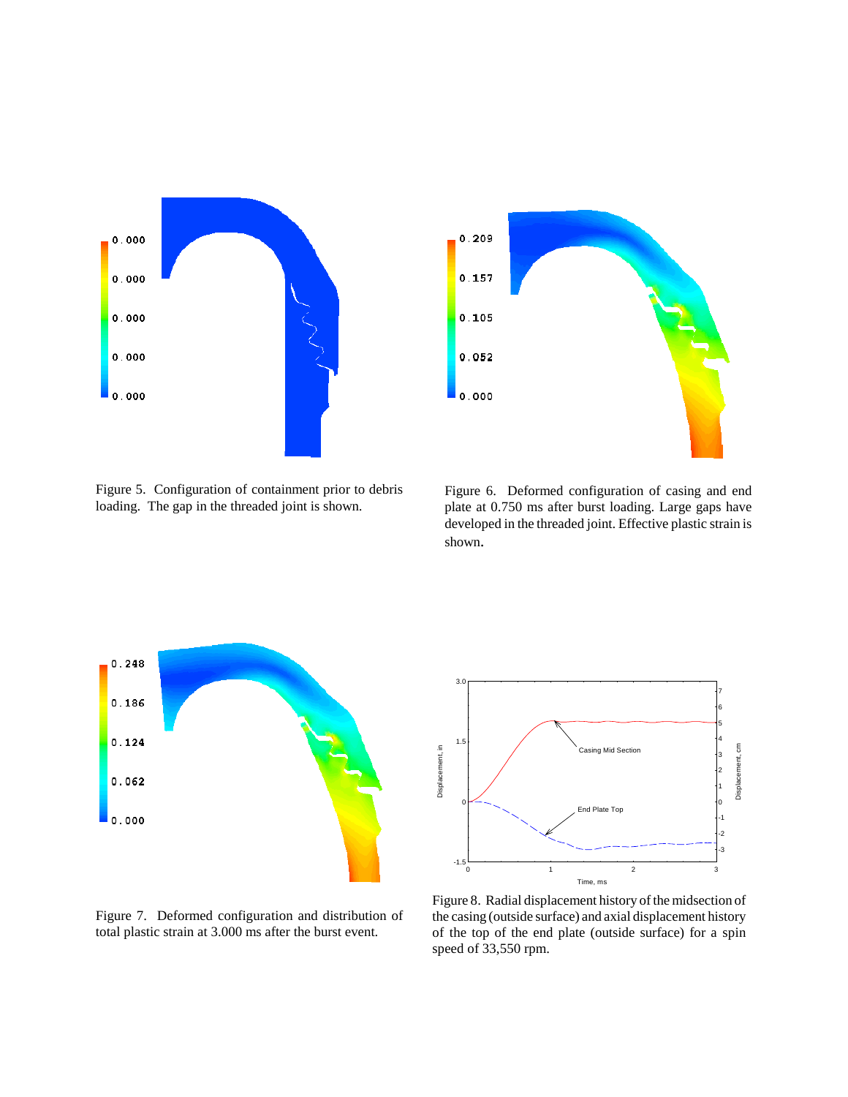



Figure 5. Configuration of containment prior to debris loading. The gap in the threaded joint is shown.

Figure 6. Deformed configuration of casing and end plate at 0.750 ms after burst loading. Large gaps have developed in the threaded joint. Effective plastic strain is shown.



Figure 7. Deformed configuration and distribution of total plastic strain at 3.000 ms after the burst event.



Figure 8. Radial displacement history of the midsection of the casing (outside surface) and axial displacement history of the top of the end plate (outside surface) for a spin speed of 33,550 rpm.